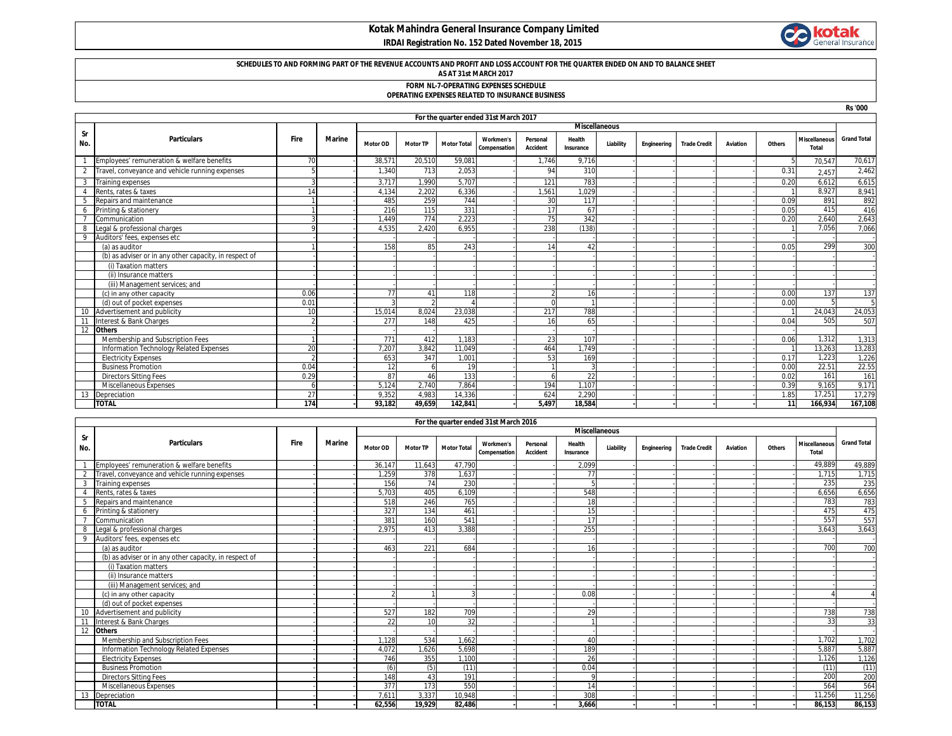# **Kotak Mahindra General Insurance Company Limited IRDAI Registration No. 152 Dated November 18, 2015**



**Rs '000**

### **SCHEDULES TO AND FORMING PART OF THE REVENUE ACCOUNTS AND PROFIT AND LOSS ACCOUNT FOR THE QUARTER ENDED ON AND TO BALANCE SHEET**

### **AS AT 31st MARCH 2017**

#### **FORM NL-7-OPERATING EXPENSES SCHEDULE OPERATING EXPENSES RELATED TO INSURANCE BUSINESS**

|  |  | יינו איזוויט באזוויט ווער שווויט ווישטאן איזוויט איזוויט איזוויט |  |
|--|--|------------------------------------------------------------------|--|
|  |  |                                                                  |  |
|  |  |                                                                  |  |

|           | For the quarter ended 31st March 2017                  |               |        |                 |                 |                    |                                         |                      |                     |                      |             |                     |          |        |                                      |                    |
|-----------|--------------------------------------------------------|---------------|--------|-----------------|-----------------|--------------------|-----------------------------------------|----------------------|---------------------|----------------------|-------------|---------------------|----------|--------|--------------------------------------|--------------------|
|           |                                                        |               |        |                 |                 |                    |                                         |                      |                     | <b>Miscellaneous</b> |             |                     |          |        |                                      |                    |
| Sr<br>No. | <b>Particulars</b>                                     | Fire          | Marine | <b>Motor OD</b> | <b>Motor TP</b> | <b>Motor Total</b> | <b>Workmen's</b><br><b>Compensation</b> | Personal<br>Accident | Health<br>Insurance | Liability            | Engineering | <b>Trade Credit</b> | Aviation | Others | <b>Miscellaneous</b><br><b>Total</b> | <b>Grand Total</b> |
|           | Employees' remuneration & welfare benefits             | 70            |        | 38.571          | 20,510          | 59,081             |                                         | 1.746                | 9.716               |                      |             |                     |          |        | 70,547                               | 70,617             |
|           | Travel, conveyance and vehicle running expenses        |               |        | 1.340           | 713             | 2.053              |                                         | 94                   | 310                 |                      |             |                     |          | 0.31   | 2.457                                | 2,462              |
|           | <b>Training expenses</b>                               |               |        | 3,717           | 1,990           | 5,707              |                                         | 121                  | 783                 |                      |             |                     |          | 0.20   | 6,612                                | 6,615              |
|           | Rents, rates & taxes                                   | 14            |        | 4.134           | 2.202           | 6,336              |                                         | 1.561                | 1.029               |                      |             |                     |          |        | 8,927                                | 8,941              |
|           | Repairs and maintenance                                |               |        | 485             | 259             | 744                |                                         | 30                   | 117                 |                      |             |                     |          | 0.09   | 891                                  | 892                |
|           | Printing & stationery                                  |               |        | 216             | 115             | 331                |                                         | 17                   | 67                  |                      |             |                     |          | 0.05   | 415                                  | 416                |
|           | Communication                                          |               |        | 1.449           | 774             | 2,223              |                                         | 75                   | 342                 |                      |             |                     |          | 0.20   | 2,640                                | 2,643              |
|           | Legal & professional charges                           |               |        | 4,535           | 2,420           | 6.955              |                                         | 238                  | (138)               |                      |             |                     |          |        | 7,056                                | 7,066              |
|           | Auditors' fees, expenses etc                           |               |        |                 |                 |                    |                                         |                      |                     |                      |             |                     |          |        |                                      |                    |
|           | (a) as auditor                                         |               |        | 158             | 85              | 243                |                                         | 14                   | 42                  |                      |             |                     |          | 0.05   | 299                                  | 300                |
|           | (b) as adviser or in any other capacity, in respect of |               |        |                 |                 |                    |                                         |                      |                     |                      |             |                     |          |        |                                      |                    |
|           | (i) Taxation matters                                   |               |        |                 |                 |                    |                                         |                      |                     |                      |             |                     |          |        |                                      |                    |
|           | (ii) Insurance matters                                 |               |        |                 |                 |                    |                                         |                      |                     |                      |             |                     |          |        |                                      |                    |
|           | (iii) Management services; and                         |               |        |                 |                 |                    |                                         |                      |                     |                      |             |                     |          |        |                                      |                    |
|           | (c) in any other capacity                              | 0.06          |        | 77              | 41              | 118                |                                         |                      | 16                  |                      |             |                     |          | 0.00   | 137                                  | 137                |
|           | (d) out of pocket expenses                             | $0.0^{\circ}$ |        |                 |                 |                    |                                         |                      |                     |                      |             |                     |          | 0.00   |                                      |                    |
|           | Advertisement and publicity                            | 10            |        | 15.014          | 8.024           | 23.038             |                                         | 217                  | 788                 |                      |             |                     |          |        | 24,043                               | 24,053             |
|           | Interest & Bank Charges                                |               |        | 277             | 148             | 425                |                                         | 16                   | 65                  |                      |             |                     |          | 0.04   | 505                                  | 507                |
|           | <b>Others</b>                                          |               |        |                 |                 |                    |                                         |                      |                     |                      |             |                     |          |        |                                      |                    |
|           | Membership and Subscription Fees                       |               |        | 771             | 412             | 1.183              |                                         | 23                   | 107                 |                      |             |                     |          | 0.06   | 1,312                                | 1,313              |
|           | Information Technology Related Expenses                | 20            |        | 7.207           | 3.842           | 11.049             |                                         | 464                  | 1.749               |                      |             |                     |          |        | 13,263                               | 13,283             |
|           | <b>Electricity Expenses</b>                            |               |        | 653             | 347             | 1.001              |                                         | 53                   | 169                 |                      |             |                     |          | 0.17   | 1.223                                | 1,226              |
|           | <b>Business Promotion</b>                              | 0.04          |        | 12              |                 | 19                 |                                         |                      |                     |                      |             |                     |          | 0.00   | 22.51                                | 22.55              |
|           | <b>Directors Sitting Fees</b>                          | 0.29          |        | 87              | 46              | 133                |                                         |                      | 22                  |                      |             |                     |          | 0.02   | 161                                  | 161                |
|           | Miscellaneous Expenses                                 |               |        | 5,124           | 2.740           | 7.864              |                                         | 194                  | 1.107               |                      |             |                     |          | 0.39   | 9,165                                | 9,171              |
|           | Depreciation                                           | 27            |        | 9.352           | 4.983           | 14.336             |                                         | 624                  | 2,290               |                      |             |                     |          | 1.85   | 17,251                               | 17,279             |
|           | <b>TOTAL</b>                                           | 174           |        | 93.182          | 49.659          | 142.841            |                                         | 5.497                | 18.584              |                      |             |                     |          | 11     | 166.934                              | 167.108            |

|                |                                                        |             |        |                 |                 |                    | For the quarter ended 31st March 2016 |                             |                      |           |             |                     |          |        |                                      |                    |
|----------------|--------------------------------------------------------|-------------|--------|-----------------|-----------------|--------------------|---------------------------------------|-----------------------------|----------------------|-----------|-------------|---------------------|----------|--------|--------------------------------------|--------------------|
|                |                                                        |             |        |                 |                 |                    |                                       |                             | <b>Miscellaneous</b> |           |             |                     |          |        |                                      |                    |
| Sr<br>No.      | <b>Particulars</b>                                     | <b>Fire</b> | Marine | <b>Motor OD</b> | <b>Motor TP</b> | <b>Motor Total</b> | <b>Workmen's</b><br>Compensation      | Personal<br><b>Accident</b> | Health<br>Insurance  | Liability | Engineering | <b>Trade Credit</b> | Aviation | Others | <b>Miscellaneous</b><br><b>Total</b> | <b>Grand Total</b> |
|                | Employees' remuneration & welfare benefits             |             |        | 36.147          | 11.643          | 47.790             |                                       |                             | 2.099                |           |             |                     |          |        | 49,889                               | 49,889             |
| $\overline{2}$ | Travel, conveyance and vehicle running expenses        |             |        | 1.259           | 378             | 1.637              |                                       |                             | 77                   |           |             |                     |          |        | 1,715                                | 1,715              |
| 3              | Training expenses                                      |             |        | 156             | 74              | 230                |                                       |                             |                      |           |             |                     |          |        | 235                                  | 235                |
| $\overline{4}$ | Rents, rates & taxes                                   |             |        | 5.703           | 405             | 6.109              |                                       |                             | 548                  |           |             |                     |          |        | 6.656                                | 6,656              |
|                | Repairs and maintenance                                |             |        | 518             | 246             | 765                |                                       |                             | 18                   |           |             |                     |          |        | 783                                  | 783                |
| 6              | Printing & stationery                                  |             |        | 327             | 134             | 461                |                                       |                             | 15                   |           |             |                     |          |        | 475                                  | 475                |
| $\overline{7}$ | Communication                                          |             |        | 381             | 160             | 541                |                                       |                             | 17                   |           |             |                     |          |        | 557                                  | 557                |
|                | Legal & professional charges                           |             |        | 2,975           | 413             | 3,388              |                                       |                             | 255                  |           |             |                     |          |        | 3,643                                | 3,643              |
| 9              | Auditors' fees, expenses etc                           |             |        |                 |                 |                    |                                       |                             |                      |           |             |                     |          |        |                                      |                    |
|                | (a) as auditor                                         |             |        | 463             | 221             | 684                |                                       |                             | 16                   |           |             |                     |          |        | 700                                  | 700                |
|                | (b) as adviser or in any other capacity, in respect of |             |        |                 |                 |                    |                                       |                             |                      |           |             |                     |          |        |                                      |                    |
|                | (i) Taxation matters                                   |             |        |                 |                 |                    |                                       |                             |                      |           |             |                     |          |        |                                      |                    |
|                | (ii) Insurance matters                                 |             |        |                 |                 |                    |                                       |                             |                      |           |             |                     |          |        |                                      |                    |
|                | (iii) Management services; and                         |             |        |                 |                 |                    |                                       |                             |                      |           |             |                     |          |        |                                      |                    |
|                | (c) in any other capacity                              |             |        |                 |                 |                    |                                       |                             | 0.08                 |           |             |                     |          |        |                                      |                    |
|                | (d) out of pocket expenses                             |             |        |                 |                 |                    |                                       |                             |                      |           |             |                     |          |        |                                      |                    |
| 10             | Advertisement and publicity                            |             |        | 527             | 182             | 709                |                                       |                             | 29                   |           |             |                     |          |        | 738                                  | 738                |
| 11             | Interest & Bank Charges                                |             |        | 22              | 10              | 32                 |                                       |                             |                      |           |             |                     |          |        | 33                                   | 33                 |
| 12             | <b>Others</b>                                          |             |        |                 |                 |                    |                                       |                             |                      |           |             |                     |          |        |                                      |                    |
|                | Membership and Subscription Fees                       |             |        | 1.128           | 534             | 1,662              |                                       |                             | 40                   |           |             |                     |          |        | 1.702                                | 1,702              |
|                | Information Technology Related Expenses                |             |        | 4,072           | 1.626           | 5,698              |                                       |                             | 189                  |           |             |                     |          |        | 5,887                                | 5,887              |
|                | <b>Electricity Expenses</b>                            |             |        | 746             | 355             | 1,100              |                                       |                             | 26                   |           |             |                     |          |        | 1.126                                | 1,126              |
|                | <b>Business Promotion</b>                              |             |        | (6)             | (5)             | (11)               |                                       |                             | 0.04                 |           |             |                     |          |        | (11)                                 | (11)               |
|                | <b>Directors Sitting Fees</b>                          |             |        | 148             | 43              | 191                |                                       |                             | C                    |           |             |                     |          |        | 200                                  | 200                |
|                | Miscellaneous Expenses                                 |             |        | 377             | 173             | 550                |                                       |                             | 14                   |           |             |                     |          |        | 564                                  | 564                |
| 13             | Depreciation                                           |             |        | 7.611           | 3,337           | 10,948             |                                       |                             | 308                  |           |             |                     |          |        | 11.256                               | 11,256             |
|                | <b>TOTAL</b>                                           |             |        | 62.556          | 19.929          | 82.486             |                                       |                             | 3.666                |           |             |                     |          |        | 86.153                               | 86,153             |